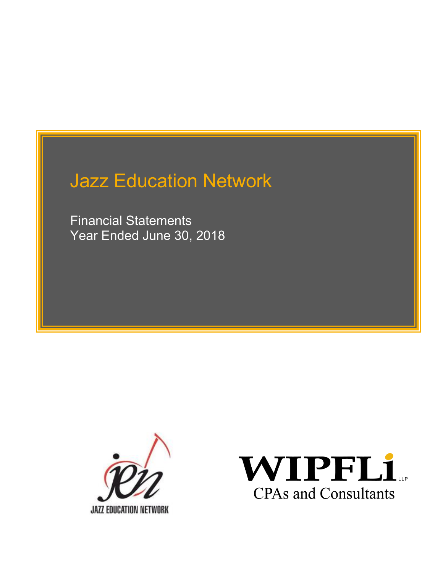Financial Statements Year Ended June 30, 2018



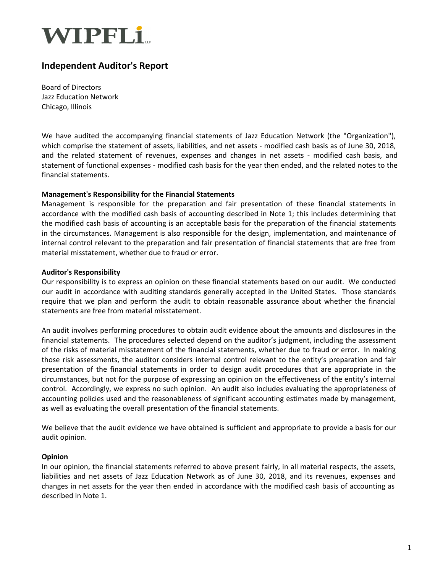

## **Independent Auditor's Report**

Board of Directors Jazz Education Network Chicago, Illinois

We have audited the accompanying financial statements of Jazz Education Network (the "Organization"), which comprise the statement of assets, liabilities, and net assets - modified cash basis as of June 30, 2018, and the related statement of revenues, expenses and changes in net assets - modified cash basis, and statement of functional expenses - modified cash basis for the year then ended, and the related notes to the financial statements.

#### **Management's Responsibility for the Financial Statements**

Management is responsible for the preparation and fair presentation of these financial statements in accordance with the modified cash basis of accounting described in Note 1; this includes determining that the modified cash basis of accounting is an acceptable basis for the preparation of the financial statements in the circumstances. Management is also responsible for the design, implementation, and maintenance of internal control relevant to the preparation and fair presentation of financial statements that are free from material misstatement, whether due to fraud or error.

#### **Auditor's Responsibility**

Our responsibility is to express an opinion on these financial statements based on our audit. We conducted our audit in accordance with auditing standards generally accepted in the United States. Those standards require that we plan and perform the audit to obtain reasonable assurance about whether the financial statements are free from material misstatement.

An audit involves performing procedures to obtain audit evidence about the amounts and disclosures in the financial statements. The procedures selected depend on the auditor's judgment, including the assessment of the risks of material misstatement of the financial statements, whether due to fraud or error. In making those risk assessments, the auditor considers internal control relevant to the entity's preparation and fair presentation of the financial statements in order to design audit procedures that are appropriate in the circumstances, but not for the purpose of expressing an opinion on the effectiveness of the entity's internal control. Accordingly, we express no such opinion. An audit also includes evaluating the appropriateness of accounting policies used and the reasonableness of significant accounting estimates made by management, as well as evaluating the overall presentation of the financial statements.

We believe that the audit evidence we have obtained is sufficient and appropriate to provide a basis for our audit opinion.

#### **Opinion**

In our opinion, the financial statements referred to above present fairly, in all material respects, the assets, liabilities and net assets of Jazz Education Network as of June 30, 2018, and its revenues, expenses and changes in net assets for the year then ended in accordance with the modified cash basis of accounting as described in Note 1.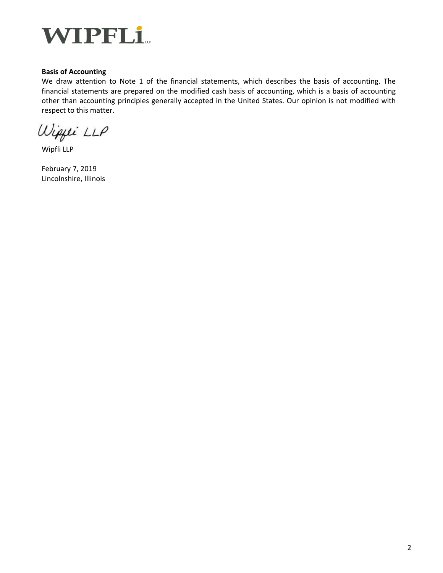

#### **Basis of Accounting**

We draw attention to Note 1 of the financial statements, which describes the basis of accounting. The financial statements are prepared on the modified cash basis of accounting, which is a basis of accounting other than accounting principles generally accepted in the United States. Our opinion is not modified with respect to this matter.

Wippei LLP

Wipfli LLP

February 7, 2019 Lincolnshire, Illinois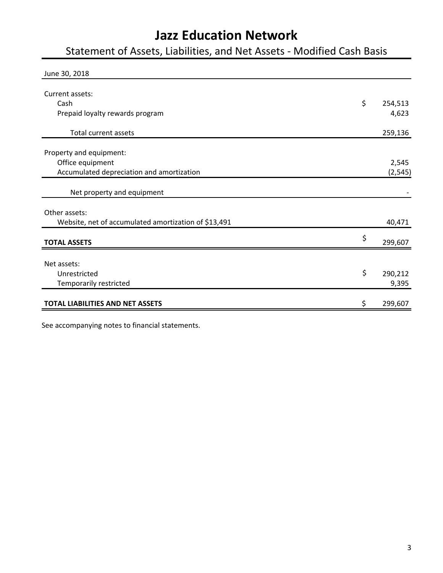Statement of Assets, Liabilities, and Net Assets - Modified Cash Basis

| June 30, 2018                                        |               |
|------------------------------------------------------|---------------|
| Current assets:<br>Cash                              | \$<br>254,513 |
| Prepaid loyalty rewards program                      | 4,623         |
| Total current assets                                 | 259,136       |
| Property and equipment:                              |               |
| Office equipment                                     | 2,545         |
| Accumulated depreciation and amortization            | (2, 545)      |
| Net property and equipment                           |               |
| Other assets:                                        |               |
| Website, net of accumulated amortization of \$13,491 | 40,471        |
| <b>TOTAL ASSETS</b>                                  | \$<br>299,607 |
| Net assets:                                          |               |
| Unrestricted                                         | \$<br>290,212 |
| Temporarily restricted                               | 9,395         |
| <b>TOTAL LIABILITIES AND NET ASSETS</b>              | \$<br>299,607 |

See accompanying notes to financial statements.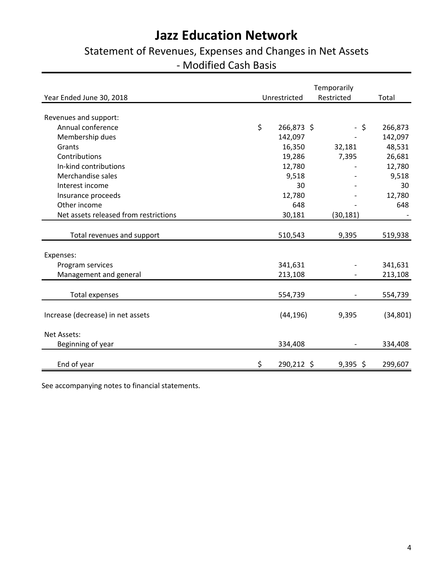# Statement of Revenues, Expenses and Changes in Net Assets - Modified Cash Basis

|                                       | Temporarily |              |            |           |
|---------------------------------------|-------------|--------------|------------|-----------|
| Year Ended June 30, 2018              |             | Unrestricted | Restricted | Total     |
|                                       |             |              |            |           |
| Revenues and support:                 |             |              |            |           |
| Annual conference                     | \$          | 266,873 \$   | - \$       | 266,873   |
| Membership dues                       |             | 142,097      |            | 142,097   |
| Grants                                |             | 16,350       | 32,181     | 48,531    |
| Contributions                         |             | 19,286       | 7,395      | 26,681    |
| In-kind contributions                 |             | 12,780       |            | 12,780    |
| Merchandise sales                     |             | 9,518        |            | 9,518     |
| Interest income                       |             | 30           |            | 30        |
| Insurance proceeds                    |             | 12,780       |            | 12,780    |
| Other income                          |             | 648          |            | 648       |
| Net assets released from restrictions |             | 30,181       | (30, 181)  |           |
|                                       |             |              |            |           |
| Total revenues and support            |             | 510,543      | 9,395      | 519,938   |
| Expenses:                             |             |              |            |           |
| Program services                      |             | 341,631      |            | 341,631   |
| Management and general                |             | 213,108      |            | 213,108   |
|                                       |             |              |            |           |
| <b>Total expenses</b>                 |             | 554,739      |            | 554,739   |
| Increase (decrease) in net assets     |             | (44, 196)    | 9,395      | (34, 801) |
| Net Assets:                           |             |              |            |           |
| Beginning of year                     |             | 334,408      |            | 334,408   |
| End of year                           | \$          | 290,212 \$   | $9,395$ \$ | 299,607   |

See accompanying notes to financial statements.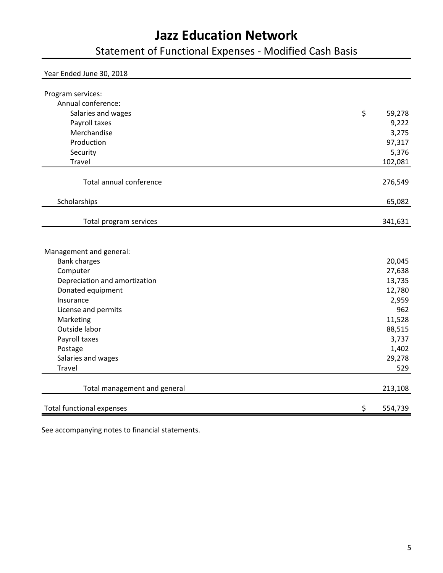Statement of Functional Expenses - Modified Cash Basis

| Year Ended June 30, 2018                           |                  |
|----------------------------------------------------|------------------|
| Program services:                                  |                  |
| Annual conference:                                 |                  |
| Salaries and wages                                 | \$<br>59,278     |
| Payroll taxes                                      | 9,222            |
| Merchandise                                        | 3,275            |
| Production                                         | 97,317           |
| Security                                           | 5,376            |
| Travel                                             | 102,081          |
|                                                    |                  |
| Total annual conference                            | 276,549          |
| Scholarships                                       | 65,082           |
|                                                    |                  |
| Total program services                             | 341,631          |
|                                                    |                  |
| Management and general:                            |                  |
| <b>Bank charges</b>                                | 20,045           |
| Computer                                           | 27,638<br>13,735 |
| Depreciation and amortization<br>Donated equipment | 12,780           |
| Insurance                                          | 2,959            |
| License and permits                                | 962              |
| Marketing                                          | 11,528           |
| Outside labor                                      | 88,515           |
| Payroll taxes                                      | 3,737            |
| Postage                                            | 1,402            |
| Salaries and wages                                 | 29,278           |
| <b>Travel</b>                                      | 529              |
|                                                    |                  |
| Total management and general                       | 213,108          |
| <b>Total functional expenses</b>                   | \$<br>554,739    |

See accompanying notes to financial statements.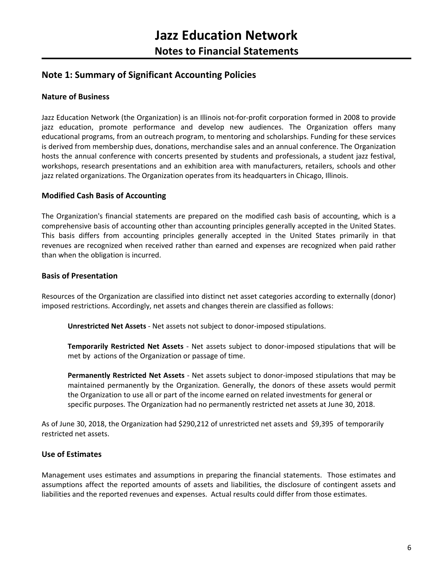## **Note 1: Summary of Significant Accounting Policies**

#### **Nature of Business**

Jazz Education Network (the Organization) is an Illinois not-for-profit corporation formed in 2008 to provide jazz education, promote performance and develop new audiences. The Organization offers many educational programs, from an outreach program, to mentoring and scholarships. Funding for these services is derived from membership dues, donations, merchandise sales and an annual conference. The Organization hosts the annual conference with concerts presented by students and professionals, a student jazz festival, workshops, research presentations and an exhibition area with manufacturers, retailers, schools and other jazz related organizations. The Organization operates from its headquarters in Chicago, Illinois.

#### **Modified Cash Basis of Accounting**

The Organization's financial statements are prepared on the modified cash basis of accounting, which is a comprehensive basis of accounting other than accounting principles generally accepted in the United States. This basis differs from accounting principles generally accepted in the United States primarily in that revenues are recognized when received rather than earned and expenses are recognized when paid rather than when the obligation is incurred.

#### **Basis of Presentation**

Resources of the Organization are classified into distinct net asset categories according to externally (donor) imposed restrictions. Accordingly, net assets and changes therein are classified as follows:

**Unrestricted Net Assets** - Net assets not subject to donor-imposed stipulations.

**Temporarily Restricted Net Assets** - Net assets subject to donor-imposed stipulations that will be met by actions of the Organization or passage of time.

**Permanently Restricted Net Assets** - Net assets subject to donor-imposed stipulations that may be maintained permanently by the Organization. Generally, the donors of these assets would permit the Organization to use all or part of the income earned on related investments for general or specific purposes. The Organization had no permanently restricted net assets at June 30, 2018.

As of June 30, 2018, the Organization had \$290,212 of unrestricted net assets and \$9,395 of temporarily restricted net assets.

#### **Use of Estimates**

Management uses estimates and assumptions in preparing the financial statements. Those estimates and assumptions affect the reported amounts of assets and liabilities, the disclosure of contingent assets and liabilities and the reported revenues and expenses. Actual results could differ from those estimates.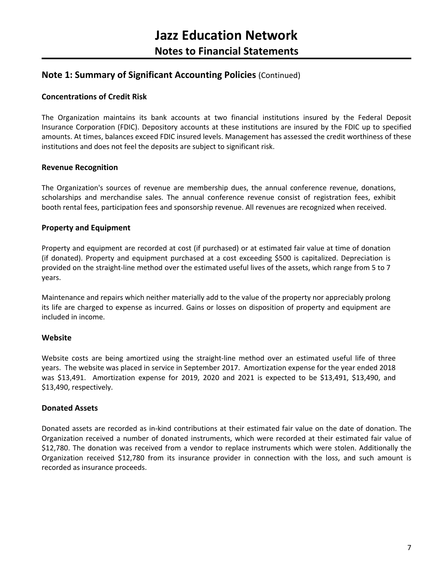### **Note 1: Summary of Significant Accounting Policies** (Continued)

#### **Concentrations of Credit Risk**

The Organization maintains its bank accounts at two financial institutions insured by the Federal Deposit Insurance Corporation (FDIC). Depository accounts at these institutions are insured by the FDIC up to specified amounts. At times, balances exceed FDIC insured levels. Management has assessed the credit worthiness of these institutions and does not feel the deposits are subject to significant risk.

#### **Revenue Recognition**

The Organization's sources of revenue are membership dues, the annual conference revenue, donations, scholarships and merchandise sales. The annual conference revenue consist of registration fees, exhibit booth rental fees, participation fees and sponsorship revenue. All revenues are recognized when received.

#### **Property and Equipment**

Property and equipment are recorded at cost (if purchased) or at estimated fair value at time of donation (if donated). Property and equipment purchased at a cost exceeding \$500 is capitalized. Depreciation is provided on the straight-line method over the estimated useful lives of the assets, which range from 5 to 7 years.

Maintenance and repairs which neither materially add to the value of the property nor appreciably prolong its life are charged to expense as incurred. Gains or losses on disposition of property and equipment are included in income.

#### **Website**

Website costs are being amortized using the straight-line method over an estimated useful life of three years. The website was placed in service in September 2017. Amortization expense for the year ended 2018 was \$13,491. Amortization expense for 2019, 2020 and 2021 is expected to be \$13,491, \$13,490, and \$13,490, respectively.

#### **Donated Assets**

Donated assets are recorded as in-kind contributions at their estimated fair value on the date of donation. The Organization received a number of donated instruments, which were recorded at their estimated fair value of \$12,780. The donation was received from a vendor to replace instruments which were stolen. Additionally the Organization received \$12,780 from its insurance provider in connection with the loss, and such amount is recorded as insurance proceeds.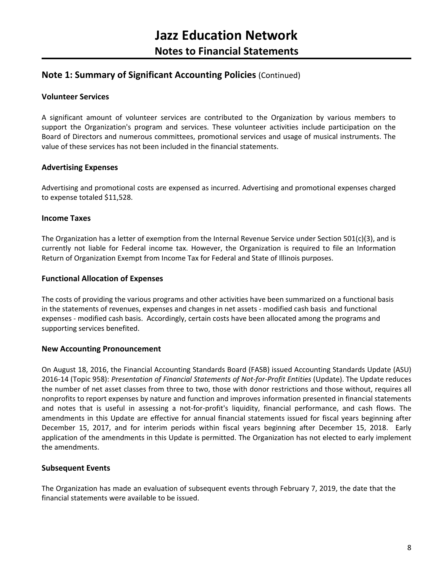### **Note 1: Summary of Significant Accounting Policies** (Continued)

#### **Volunteer Services**

A significant amount of volunteer services are contributed to the Organization by various members to support the Organization's program and services. These volunteer activities include participation on the Board of Directors and numerous committees, promotional services and usage of musical instruments. The value of these services has not been included in the financial statements.

#### **Advertising Expenses**

Advertising and promotional costs are expensed as incurred. Advertising and promotional expenses charged to expense totaled \$11,528.

#### **Income Taxes**

The Organization has a letter of exemption from the Internal Revenue Service under Section 501(c)(3), and is currently not liable for Federal income tax. However, the Organization is required to file an Information Return of Organization Exempt from Income Tax for Federal and State of Illinois purposes.

#### **Functional Allocation of Expenses**

The costs of providing the various programs and other activities have been summarized on a functional basis in the statements of revenues, expenses and changes in net assets - modified cash basis and functional expenses - modified cash basis. Accordingly, certain costs have been allocated among the programs and supporting services benefited.

#### **New Accounting Pronouncement**

On August 18, 2016, the Financial Accounting Standards Board (FASB) issued Accounting Standards Update (ASU) 2016-14 (Topic 958): *Presentation of Financial Statements of Not-for-Profit Entities* (Update). The Update reduces the number of net asset classes from three to two, those with donor restrictions and those without, requires all nonprofits to report expenses by nature and function and improves information presented in financial statements and notes that is useful in assessing a not-for-profit's liquidity, financial performance, and cash flows. The amendments in this Update are effective for annual financial statements issued for fiscal years beginning after December 15, 2017, and for interim periods within fiscal years beginning after December 15, 2018. Early application of the amendments in this Update is permitted. The Organization has not elected to early implement the amendments.

#### **Subsequent Events**

The Organization has made an evaluation of subsequent events through February 7, 2019, the date that the financial statements were available to be issued.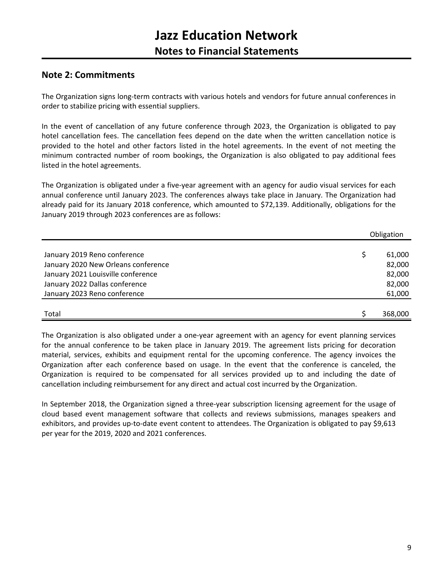### **Note 2: Commitments**

The Organization signs long-term contracts with various hotels and vendors for future annual conferences in order to stabilize pricing with essential suppliers.

In the event of cancellation of any future conference through 2023, the Organization is obligated to pay hotel cancellation fees. The cancellation fees depend on the date when the written cancellation notice is provided to the hotel and other factors listed in the hotel agreements. In the event of not meeting the minimum contracted number of room bookings, the Organization is also obligated to pay additional fees listed in the hotel agreements.

The Organization is obligated under a five-year agreement with an agency for audio visual services for each annual conference until January 2023. The conferences always take place in January. The Organization had already paid for its January 2018 conference, which amounted to \$72,139. Additionally, obligations for the January 2019 through 2023 conferences are as follows:

|                                     | Obligation |  |
|-------------------------------------|------------|--|
|                                     |            |  |
| January 2019 Reno conference        | 61,000     |  |
| January 2020 New Orleans conference | 82,000     |  |
| January 2021 Louisville conference  | 82,000     |  |
| January 2022 Dallas conference      | 82,000     |  |
| January 2023 Reno conference        | 61,000     |  |
|                                     |            |  |
| Total                               | 368,000    |  |

The Organization is also obligated under a one-year agreement with an agency for event planning services for the annual conference to be taken place in January 2019. The agreement lists pricing for decoration material, services, exhibits and equipment rental for the upcoming conference. The agency invoices the Organization after each conference based on usage. In the event that the conference is canceled, the Organization is required to be compensated for all services provided up to and including the date of cancellation including reimbursement for any direct and actual cost incurred by the Organization.

In September 2018, the Organization signed a three-year subscription licensing agreement for the usage of cloud based event management software that collects and reviews submissions, manages speakers and exhibitors, and provides up-to-date event content to attendees. The Organization is obligated to pay \$9,613 per year for the 2019, 2020 and 2021 conferences.